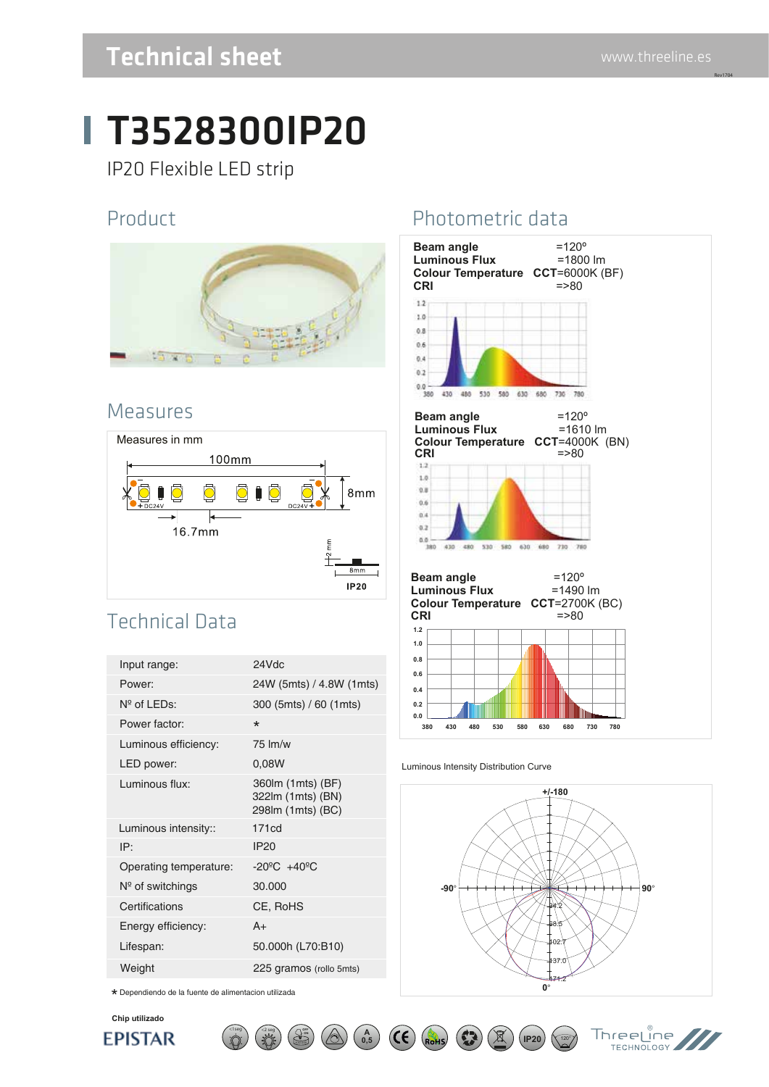Rev1704

# T3528300IP20

IP20 Flexible LED strip

#### Product



#### Measures



### Technical Data

| Input range:           | 24Vdc                                                       |
|------------------------|-------------------------------------------------------------|
| Power:                 | 24W (5mts) / 4.8W (1mts)                                    |
| $N^{\circ}$ of LEDs:   | 300 (5mts) / 60 (1mts)                                      |
| Power factor:          | $\star$                                                     |
| Luminous efficiency:   | $75 \,$ lm/w                                                |
| LED power:             | 0,08W                                                       |
| Luminous flux:         | 360lm (1mts) (BF)<br>322lm (1mts) (BN)<br>298lm (1mts) (BC) |
| Luminous intensity::   | 171cd                                                       |
| IP:                    | IP20                                                        |
| Operating temperature: | $-20^{\circ}$ C $+40^{\circ}$ C                             |
| $N°$ of switchings     | 30.000                                                      |
| Certifications         | CE, RoHS                                                    |
| Energy efficiency:     | $A+$                                                        |
| Lifespan:              | 50.000h (L70:B10)                                           |
| Weight                 | 225 gramos (rollo 5mts)                                     |
|                        |                                                             |

**ON**

 $\left(\begin{array}{c} 2 \text{ seg} \\ 1 \end{array}\right)$ 

\* Dependiendo de la fuente de alimentacion utilizada

**Chip utilizado**

**EPISTAR** 

## Photometric data



#### Luminous Intensity Distribution Curve